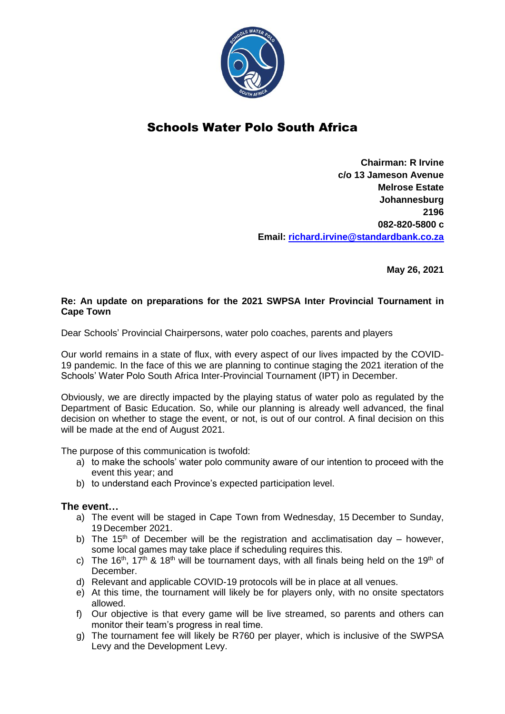

## Schools Water Polo South Africa

**Chairman: R Irvine c/o 13 Jameson Avenue Melrose Estate Johannesburg 2196 082-820-5800 c Email: [richard.irvine@standardbank.co.za](mailto:richard.irvine@standardbank.co.za)**

**May 26, 2021**

## **Re: An update on preparations for the 2021 SWPSA Inter Provincial Tournament in Cape Town**

Dear Schools' Provincial Chairpersons, water polo coaches, parents and players

Our world remains in a state of flux, with every aspect of our lives impacted by the COVID-19 pandemic. In the face of this we are planning to continue staging the 2021 iteration of the Schools' Water Polo South Africa Inter-Provincial Tournament (IPT) in December.

Obviously, we are directly impacted by the playing status of water polo as regulated by the Department of Basic Education. So, while our planning is already well advanced, the final decision on whether to stage the event, or not, is out of our control. A final decision on this will be made at the end of August 2021.

The purpose of this communication is twofold:

- a) to make the schools' water polo community aware of our intention to proceed with the event this year; and
- b) to understand each Province's expected participation level.

## **The event…**

- a) The event will be staged in Cape Town from Wednesday, 15 December to Sunday, 19 December 2021.
- b) The 15<sup>th</sup> of December will be the registration and acclimatisation day however, some local games may take place if scheduling requires this.
- c) The 16<sup>th</sup>, 17<sup>th</sup> & 18<sup>th</sup> will be tournament days, with all finals being held on the 19<sup>th</sup> of December.
- d) Relevant and applicable COVID-19 protocols will be in place at all venues.
- e) At this time, the tournament will likely be for players only, with no onsite spectators allowed.
- f) Our objective is that every game will be live streamed, so parents and others can monitor their team's progress in real time.
- g) The tournament fee will likely be R760 per player, which is inclusive of the SWPSA Levy and the Development Levy.